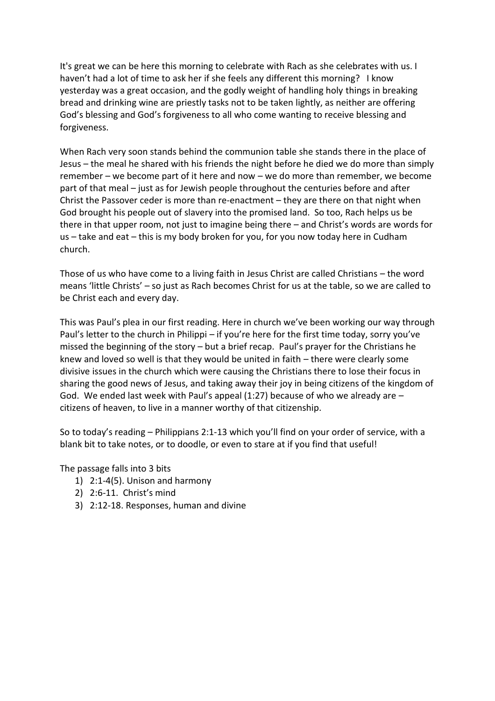It's great we can be here this morning to celebrate with Rach as she celebrates with us. I haven't had a lot of time to ask her if she feels any different this morning? I know yesterday was a great occasion, and the godly weight of handling holy things in breaking bread and drinking wine are priestly tasks not to be taken lightly, as neither are offering God's blessing and God's forgiveness to all who come wanting to receive blessing and forgiveness.

When Rach very soon stands behind the communion table she stands there in the place of Jesus – the meal he shared with his friends the night before he died we do more than simply remember – we become part of it here and now – we do more than remember, we become part of that meal – just as for Jewish people throughout the centuries before and after Christ the Passover ceder is more than re-enactment – they are there on that night when God brought his people out of slavery into the promised land. So too, Rach helps us be there in that upper room, not just to imagine being there – and Christ's words are words for us – take and eat – this is my body broken for you, for you now today here in Cudham church.

Those of us who have come to a living faith in Jesus Christ are called Christians – the word means 'little Christs' – so just as Rach becomes Christ for us at the table, so we are called to be Christ each and every day.

This was Paul's plea in our first reading. Here in church we've been working our way through Paul's letter to the church in Philippi – if you're here for the first time today, sorry you've missed the beginning of the story – but a brief recap. Paul's prayer for the Christians he knew and loved so well is that they would be united in faith – there were clearly some divisive issues in the church which were causing the Christians there to lose their focus in sharing the good news of Jesus, and taking away their joy in being citizens of the kingdom of God. We ended last week with Paul's appeal (1:27) because of who we already are  $$ citizens of heaven, to live in a manner worthy of that citizenship.

So to today's reading – Philippians 2:1-13 which you'll find on your order of service, with a blank bit to take notes, or to doodle, or even to stare at if you find that useful!

The passage falls into 3 bits

- 1) 2:1-4(5). Unison and harmony
- 2) 2:6-11. Christ's mind
- 3) 2:12-18. Responses, human and divine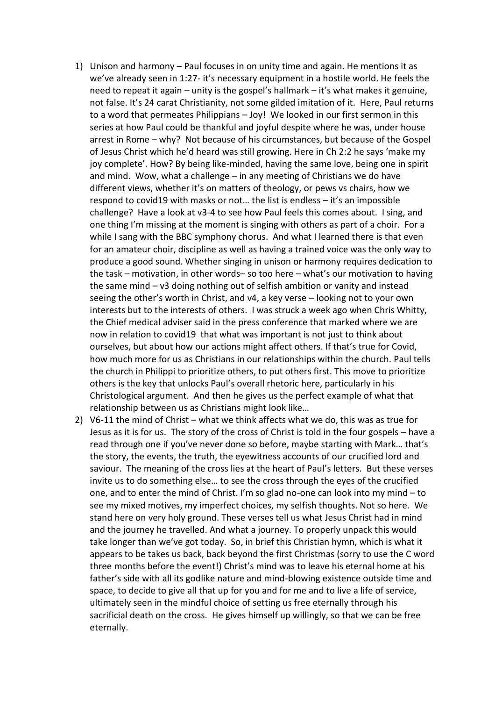- 1) Unison and harmony Paul focuses in on unity time and again. He mentions it as we've already seen in 1:27- it's necessary equipment in a hostile world. He feels the need to repeat it again – unity is the gospel's hallmark – it's what makes it genuine, not false. It's 24 carat Christianity, not some gilded imitation of it. Here, Paul returns to a word that permeates Philippians – Joy! We looked in our first sermon in this series at how Paul could be thankful and joyful despite where he was, under house arrest in Rome – why? Not because of his circumstances, but because of the Gospel of Jesus Christ which he'd heard was still growing. Here in Ch 2:2 he says 'make my joy complete'. How? By being like-minded, having the same love, being one in spirit and mind. Wow, what a challenge – in any meeting of Christians we do have different views, whether it's on matters of theology, or pews vs chairs, how we respond to covid19 with masks or not… the list is endless – it's an impossible challenge? Have a look at v3-4 to see how Paul feels this comes about. I sing, and one thing I'm missing at the moment is singing with others as part of a choir. For a while I sang with the BBC symphony chorus. And what I learned there is that even for an amateur choir, discipline as well as having a trained voice was the only way to produce a good sound. Whether singing in unison or harmony requires dedication to the task – motivation, in other words– so too here – what's our motivation to having the same mind – v3 doing nothing out of selfish ambition or vanity and instead seeing the other's worth in Christ, and v4, a key verse – looking not to your own interests but to the interests of others. I was struck a week ago when Chris Whitty, the Chief medical adviser said in the press conference that marked where we are now in relation to covid19 that what was important is not just to think about ourselves, but about how our actions might affect others. If that's true for Covid, how much more for us as Christians in our relationships within the church. Paul tells the church in Philippi to prioritize others, to put others first. This move to prioritize others is the key that unlocks Paul's overall rhetoric here, particularly in his Christological argument. And then he gives us the perfect example of what that relationship between us as Christians might look like…
- 2) V6-11 the mind of Christ what we think affects what we do, this was as true for Jesus as it is for us. The story of the cross of Christ is told in the four gospels – have a read through one if you've never done so before, maybe starting with Mark… that's the story, the events, the truth, the eyewitness accounts of our crucified lord and saviour. The meaning of the cross lies at the heart of Paul's letters. But these verses invite us to do something else… to see the cross through the eyes of the crucified one, and to enter the mind of Christ. I'm so glad no-one can look into my mind – to see my mixed motives, my imperfect choices, my selfish thoughts. Not so here. We stand here on very holy ground. These verses tell us what Jesus Christ had in mind and the journey he travelled. And what a journey. To properly unpack this would take longer than we've got today. So, in brief this Christian hymn, which is what it appears to be takes us back, back beyond the first Christmas (sorry to use the C word three months before the event!) Christ's mind was to leave his eternal home at his father's side with all its godlike nature and mind-blowing existence outside time and space, to decide to give all that up for you and for me and to live a life of service, ultimately seen in the mindful choice of setting us free eternally through his sacrificial death on the cross. He gives himself up willingly, so that we can be free eternally.